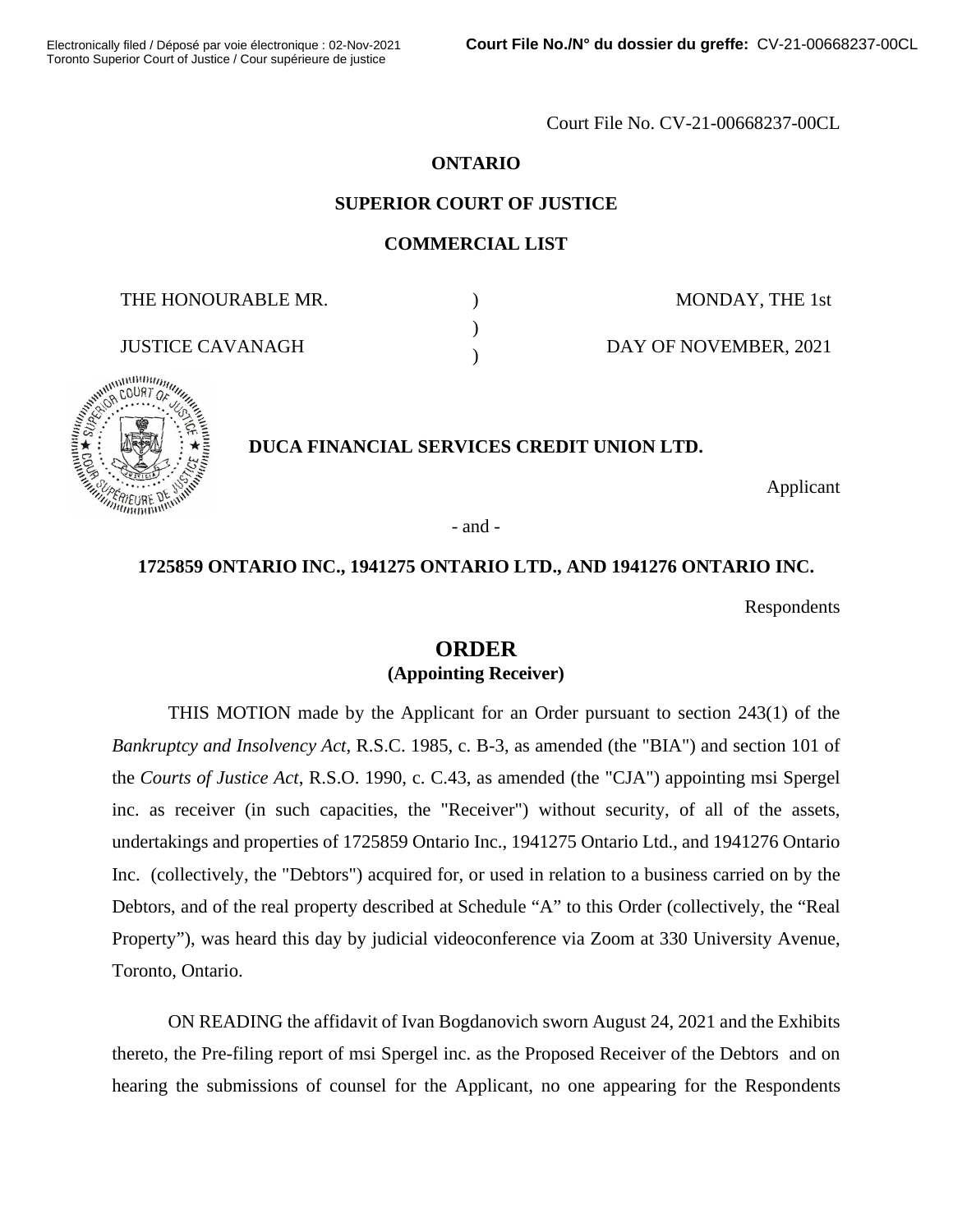Court File No. CV-21-00668237-00CL

### **ONTARIO**

### **SUPERIOR COURT OF JUSTICE**

#### **COMMERCIAL LIST**

) )  $\lambda$ 

THE HONOURABLE MR.

MONDAY, THE 1st

DAY OF NOVEMBER, 2021



### **DUCA FINANCIAL SERVICES CREDIT UNION LTD.**

Applicant

- and -

### **1725859 ONTARIO INC., 1941275 ONTARIO LTD., AND 1941276 ONTARIO INC.**

Respondents

# **ORDER (Appointing Receiver)**

THIS MOTION made by the Applicant for an Order pursuant to section 243(1) of the *Bankruptcy and Insolvency Act*, R.S.C. 1985, c. B-3, as amended (the "BIA") and section 101 of the *Courts of Justice Act*, R.S.O. 1990, c. C.43, as amended (the "CJA") appointing msi Spergel inc. as receiver (in such capacities, the "Receiver") without security, of all of the assets, undertakings and properties of 1725859 Ontario Inc., 1941275 Ontario Ltd., and 1941276 Ontario Inc. (collectively, the "Debtors") acquired for, or used in relation to a business carried on by the Debtors, and of the real property described at Schedule "A" to this Order (collectively, the "Real Property"), was heard this day by judicial videoconference via Zoom at 330 University Avenue, Toronto, Ontario.

ON READING the affidavit of Ivan Bogdanovich sworn August 24, 2021 and the Exhibits thereto, the Pre-filing report of msi Spergel inc. as the Proposed Receiver of the Debtors and on hearing the submissions of counsel for the Applicant, no one appearing for the Respondents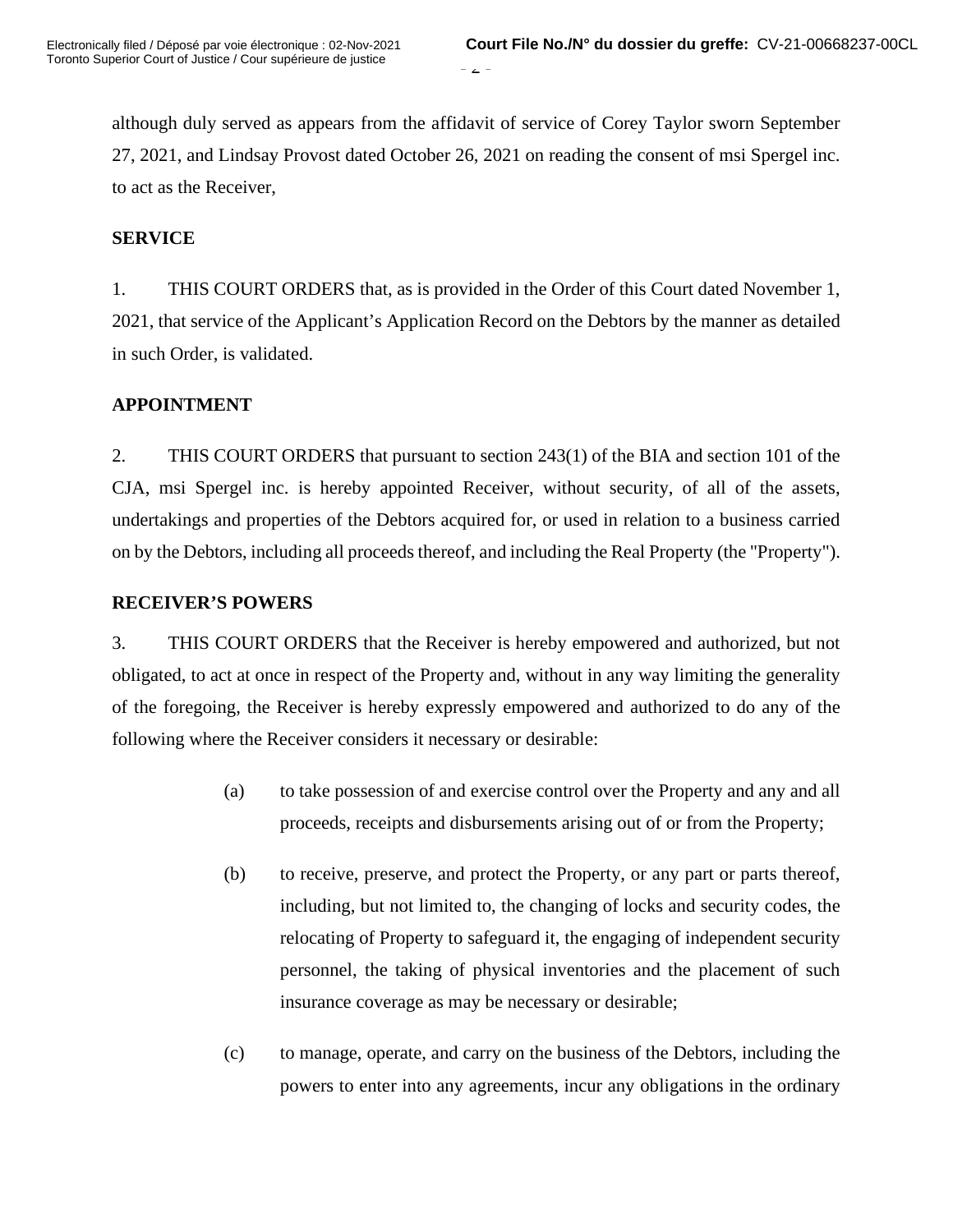$\angle$  -

although duly served as appears from the affidavit of service of Corey Taylor sworn September 27, 2021, and Lindsay Provost dated October 26, 2021 on reading the consent of msi Spergel inc. to act as the Receiver,

### **SERVICE**

1. THIS COURT ORDERS that, as is provided in the Order of this Court dated November 1, 2021, that service of the Applicant's Application Record on the Debtors by the manner as detailed in such Order, is validated.

## **APPOINTMENT**

2. THIS COURT ORDERS that pursuant to section 243(1) of the BIA and section 101 of the CJA, msi Spergel inc. is hereby appointed Receiver, without security, of all of the assets, undertakings and properties of the Debtors acquired for, or used in relation to a business carried on by the Debtors, including all proceeds thereof, and including the Real Property (the "Property").

### **RECEIVER'S POWERS**

3. THIS COURT ORDERS that the Receiver is hereby empowered and authorized, but not obligated, to act at once in respect of the Property and, without in any way limiting the generality of the foregoing, the Receiver is hereby expressly empowered and authorized to do any of the following where the Receiver considers it necessary or desirable:

- (a) to take possession of and exercise control over the Property and any and all proceeds, receipts and disbursements arising out of or from the Property;
- (b) to receive, preserve, and protect the Property, or any part or parts thereof, including, but not limited to, the changing of locks and security codes, the relocating of Property to safeguard it, the engaging of independent security personnel, the taking of physical inventories and the placement of such insurance coverage as may be necessary or desirable;
- (c) to manage, operate, and carry on the business of the Debtors, including the powers to enter into any agreements, incur any obligations in the ordinary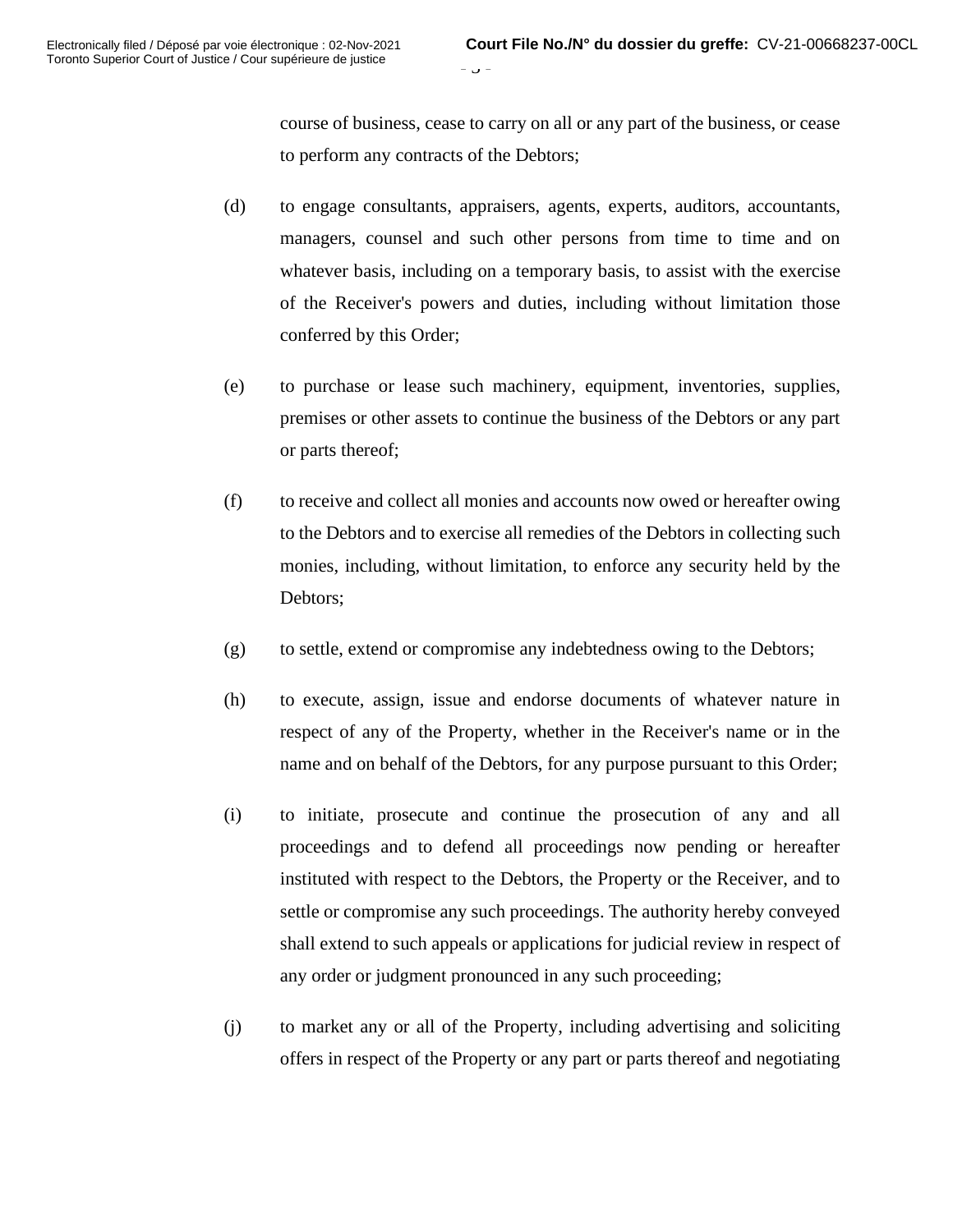- ن -

course of business, cease to carry on all or any part of the business, or cease to perform any contracts of the Debtors;

- (d) to engage consultants, appraisers, agents, experts, auditors, accountants, managers, counsel and such other persons from time to time and on whatever basis, including on a temporary basis, to assist with the exercise of the Receiver's powers and duties, including without limitation those conferred by this Order;
- (e) to purchase or lease such machinery, equipment, inventories, supplies, premises or other assets to continue the business of the Debtors or any part or parts thereof;
- (f) to receive and collect all monies and accounts now owed or hereafter owing to the Debtors and to exercise all remedies of the Debtors in collecting such monies, including, without limitation, to enforce any security held by the Debtors;
- (g) to settle, extend or compromise any indebtedness owing to the Debtors;
- (h) to execute, assign, issue and endorse documents of whatever nature in respect of any of the Property, whether in the Receiver's name or in the name and on behalf of the Debtors, for any purpose pursuant to this Order;
- (i) to initiate, prosecute and continue the prosecution of any and all proceedings and to defend all proceedings now pending or hereafter instituted with respect to the Debtors, the Property or the Receiver, and to settle or compromise any such proceedings. The authority hereby conveyed shall extend to such appeals or applications for judicial review in respect of any order or judgment pronounced in any such proceeding;
- (j) to market any or all of the Property, including advertising and soliciting offers in respect of the Property or any part or parts thereof and negotiating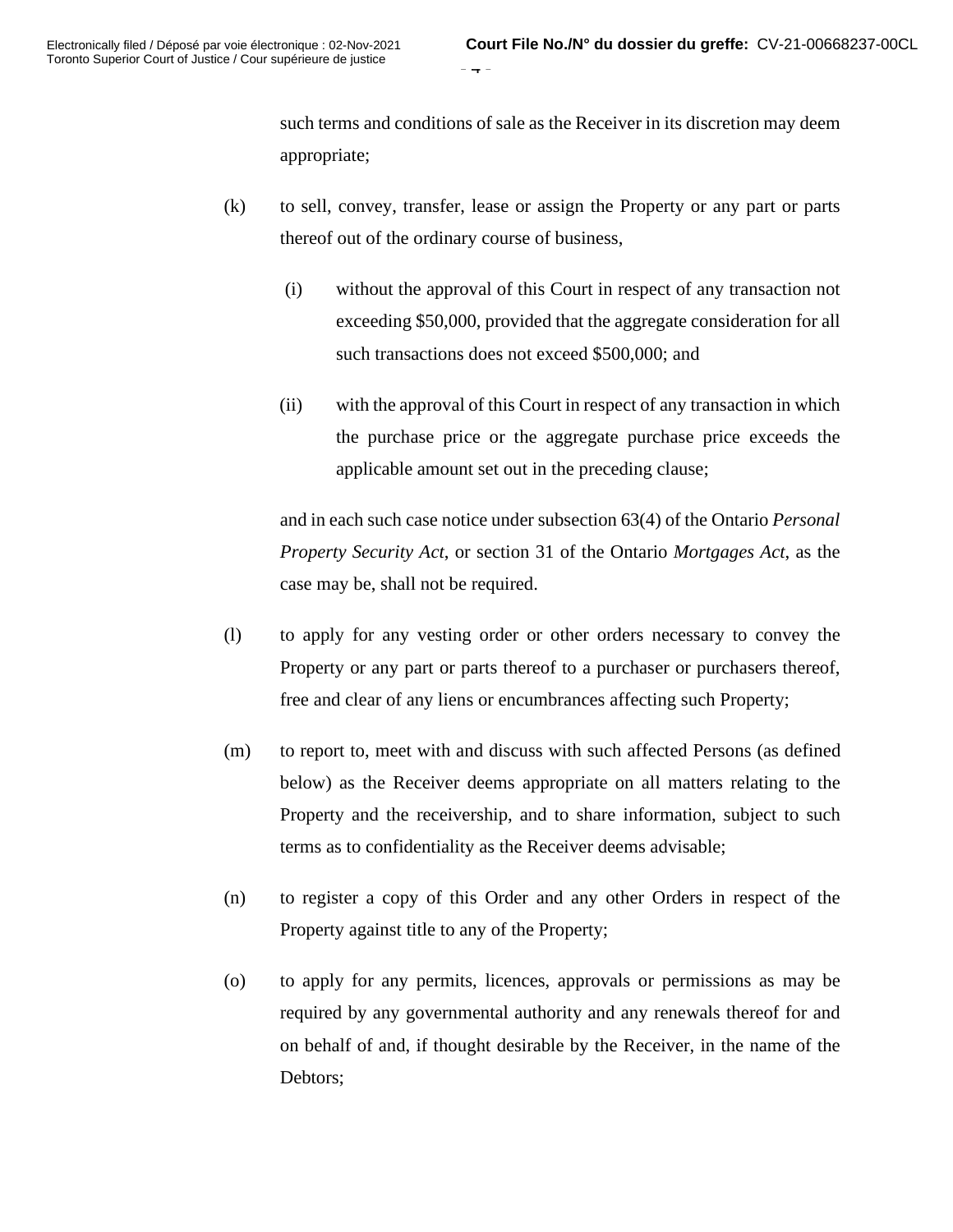such terms and conditions of sale as the Receiver in its discretion may deem appropriate;

- (k) to sell, convey, transfer, lease or assign the Property or any part or parts thereof out of the ordinary course of business,
	- (i) without the approval of this Court in respect of any transaction not exceeding \$50,000, provided that the aggregate consideration for all such transactions does not exceed \$500,000; and
	- (ii) with the approval of this Court in respect of any transaction in which the purchase price or the aggregate purchase price exceeds the applicable amount set out in the preceding clause;

and in each such case notice under subsection 63(4) of the Ontario *Personal Property Security Act*, or section 31 of the Ontario *Mortgages Act*, as the case may be, shall not be required.

- (l) to apply for any vesting order or other orders necessary to convey the Property or any part or parts thereof to a purchaser or purchasers thereof, free and clear of any liens or encumbrances affecting such Property;
- (m) to report to, meet with and discuss with such affected Persons (as defined below) as the Receiver deems appropriate on all matters relating to the Property and the receivership, and to share information, subject to such terms as to confidentiality as the Receiver deems advisable;
- (n) to register a copy of this Order and any other Orders in respect of the Property against title to any of the Property;
- (o) to apply for any permits, licences, approvals or permissions as may be required by any governmental authority and any renewals thereof for and on behalf of and, if thought desirable by the Receiver, in the name of the Debtors;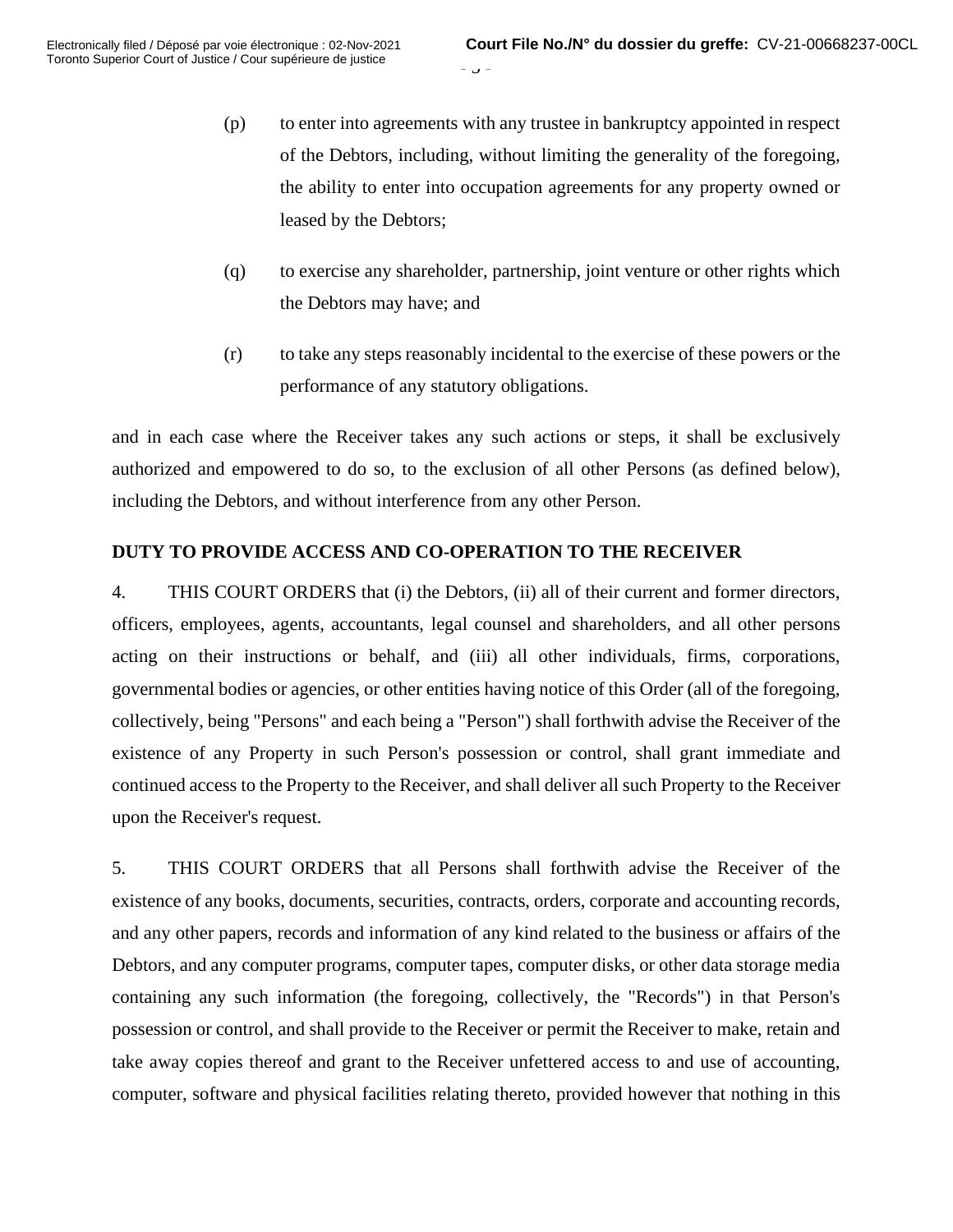$J -$ 

- (p) to enter into agreements with any trustee in bankruptcy appointed in respect of the Debtors, including, without limiting the generality of the foregoing, the ability to enter into occupation agreements for any property owned or leased by the Debtors;
- (q) to exercise any shareholder, partnership, joint venture or other rights which the Debtors may have; and
- (r) to take any steps reasonably incidental to the exercise of these powers or the performance of any statutory obligations.

and in each case where the Receiver takes any such actions or steps, it shall be exclusively authorized and empowered to do so, to the exclusion of all other Persons (as defined below), including the Debtors, and without interference from any other Person.

# **DUTY TO PROVIDE ACCESS AND CO-OPERATION TO THE RECEIVER**

4. THIS COURT ORDERS that (i) the Debtors, (ii) all of their current and former directors, officers, employees, agents, accountants, legal counsel and shareholders, and all other persons acting on their instructions or behalf, and (iii) all other individuals, firms, corporations, governmental bodies or agencies, or other entities having notice of this Order (all of the foregoing, collectively, being "Persons" and each being a "Person") shall forthwith advise the Receiver of the existence of any Property in such Person's possession or control, shall grant immediate and continued access to the Property to the Receiver, and shall deliver all such Property to the Receiver upon the Receiver's request.

5. THIS COURT ORDERS that all Persons shall forthwith advise the Receiver of the existence of any books, documents, securities, contracts, orders, corporate and accounting records, and any other papers, records and information of any kind related to the business or affairs of the Debtors, and any computer programs, computer tapes, computer disks, or other data storage media containing any such information (the foregoing, collectively, the "Records") in that Person's possession or control, and shall provide to the Receiver or permit the Receiver to make, retain and take away copies thereof and grant to the Receiver unfettered access to and use of accounting, computer, software and physical facilities relating thereto, provided however that nothing in this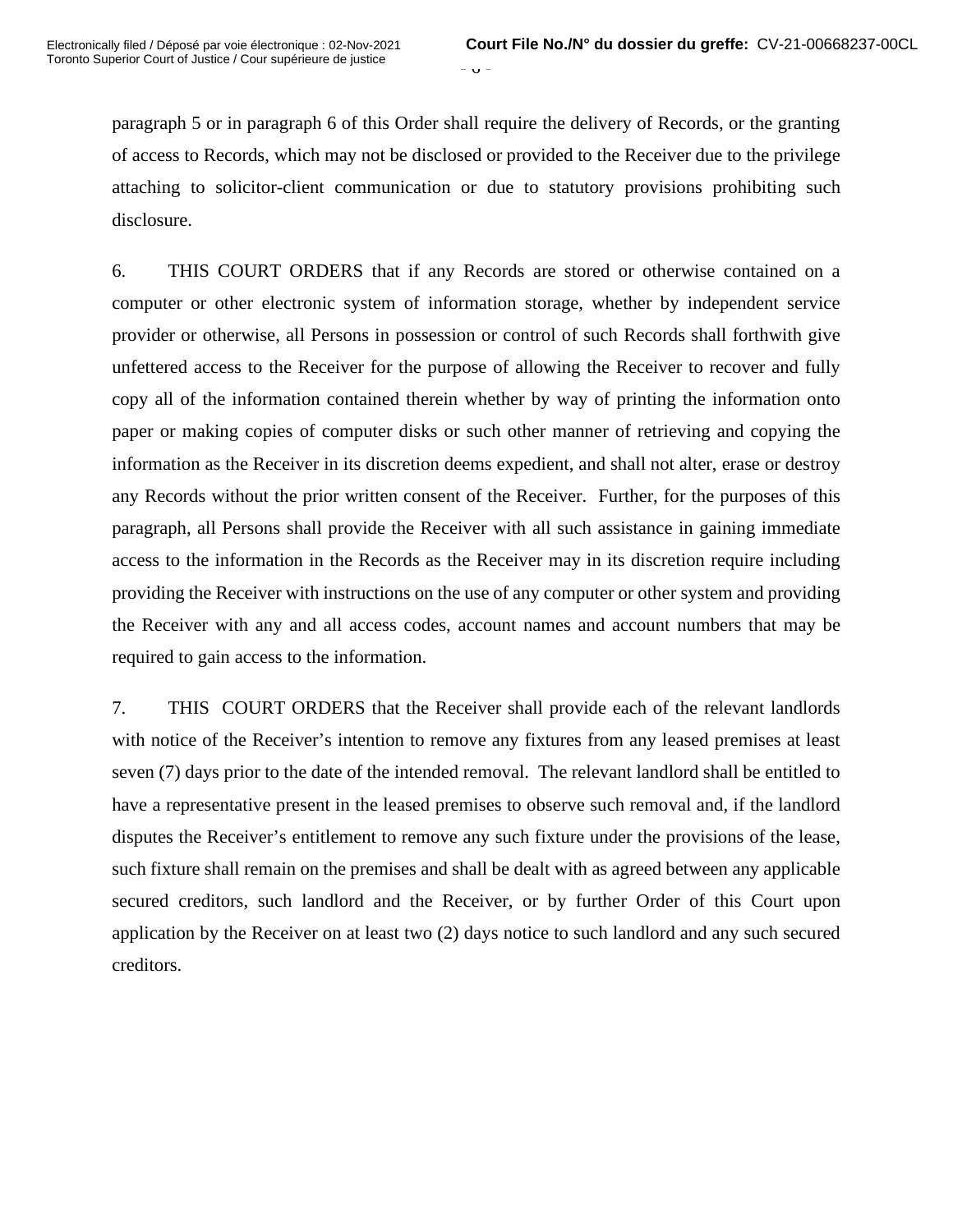$\cup$  -

paragraph 5 or in paragraph 6 of this Order shall require the delivery of Records, or the granting of access to Records, which may not be disclosed or provided to the Receiver due to the privilege attaching to solicitor-client communication or due to statutory provisions prohibiting such disclosure.

6. THIS COURT ORDERS that if any Records are stored or otherwise contained on a computer or other electronic system of information storage, whether by independent service provider or otherwise, all Persons in possession or control of such Records shall forthwith give unfettered access to the Receiver for the purpose of allowing the Receiver to recover and fully copy all of the information contained therein whether by way of printing the information onto paper or making copies of computer disks or such other manner of retrieving and copying the information as the Receiver in its discretion deems expedient, and shall not alter, erase or destroy any Records without the prior written consent of the Receiver. Further, for the purposes of this paragraph, all Persons shall provide the Receiver with all such assistance in gaining immediate access to the information in the Records as the Receiver may in its discretion require including providing the Receiver with instructions on the use of any computer or other system and providing the Receiver with any and all access codes, account names and account numbers that may be required to gain access to the information.

7. THIS COURT ORDERS that the Receiver shall provide each of the relevant landlords with notice of the Receiver's intention to remove any fixtures from any leased premises at least seven (7) days prior to the date of the intended removal. The relevant landlord shall be entitled to have a representative present in the leased premises to observe such removal and, if the landlord disputes the Receiver's entitlement to remove any such fixture under the provisions of the lease, such fixture shall remain on the premises and shall be dealt with as agreed between any applicable secured creditors, such landlord and the Receiver, or by further Order of this Court upon application by the Receiver on at least two (2) days notice to such landlord and any such secured creditors.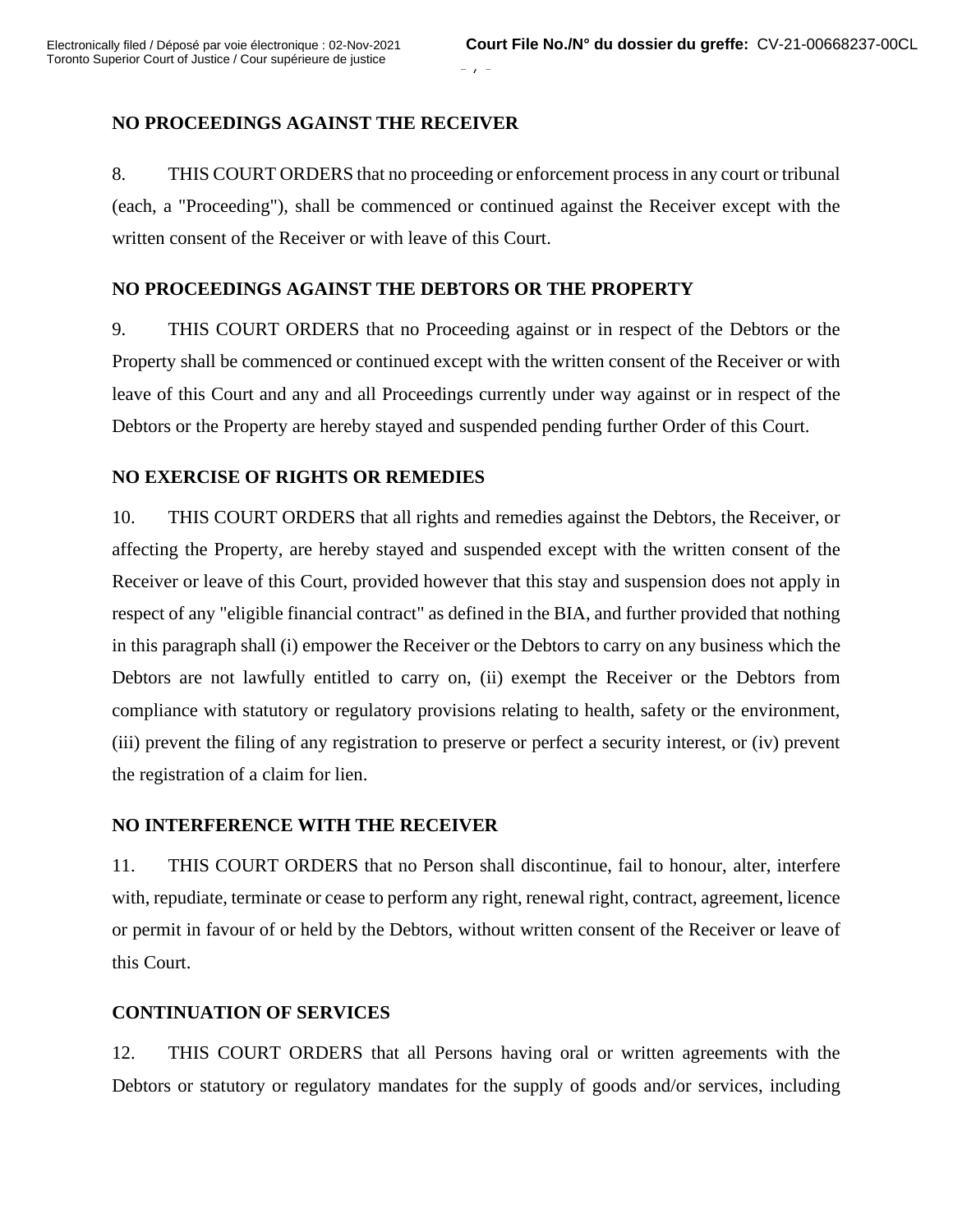## **NO PROCEEDINGS AGAINST THE RECEIVER**

8. THIS COURT ORDERS that no proceeding or enforcement process in any court or tribunal (each, a "Proceeding"), shall be commenced or continued against the Receiver except with the written consent of the Receiver or with leave of this Court.

 $-7 -$ 

### **NO PROCEEDINGS AGAINST THE DEBTORS OR THE PROPERTY**

9. THIS COURT ORDERS that no Proceeding against or in respect of the Debtors or the Property shall be commenced or continued except with the written consent of the Receiver or with leave of this Court and any and all Proceedings currently under way against or in respect of the Debtors or the Property are hereby stayed and suspended pending further Order of this Court.

### **NO EXERCISE OF RIGHTS OR REMEDIES**

10. THIS COURT ORDERS that all rights and remedies against the Debtors, the Receiver, or affecting the Property, are hereby stayed and suspended except with the written consent of the Receiver or leave of this Court, provided however that this stay and suspension does not apply in respect of any "eligible financial contract" as defined in the BIA, and further provided that nothing in this paragraph shall (i) empower the Receiver or the Debtors to carry on any business which the Debtors are not lawfully entitled to carry on, (ii) exempt the Receiver or the Debtors from compliance with statutory or regulatory provisions relating to health, safety or the environment, (iii) prevent the filing of any registration to preserve or perfect a security interest, or (iv) prevent the registration of a claim for lien.

### **NO INTERFERENCE WITH THE RECEIVER**

11. THIS COURT ORDERS that no Person shall discontinue, fail to honour, alter, interfere with, repudiate, terminate or cease to perform any right, renewal right, contract, agreement, licence or permit in favour of or held by the Debtors, without written consent of the Receiver or leave of this Court.

## **CONTINUATION OF SERVICES**

12. THIS COURT ORDERS that all Persons having oral or written agreements with the Debtors or statutory or regulatory mandates for the supply of goods and/or services, including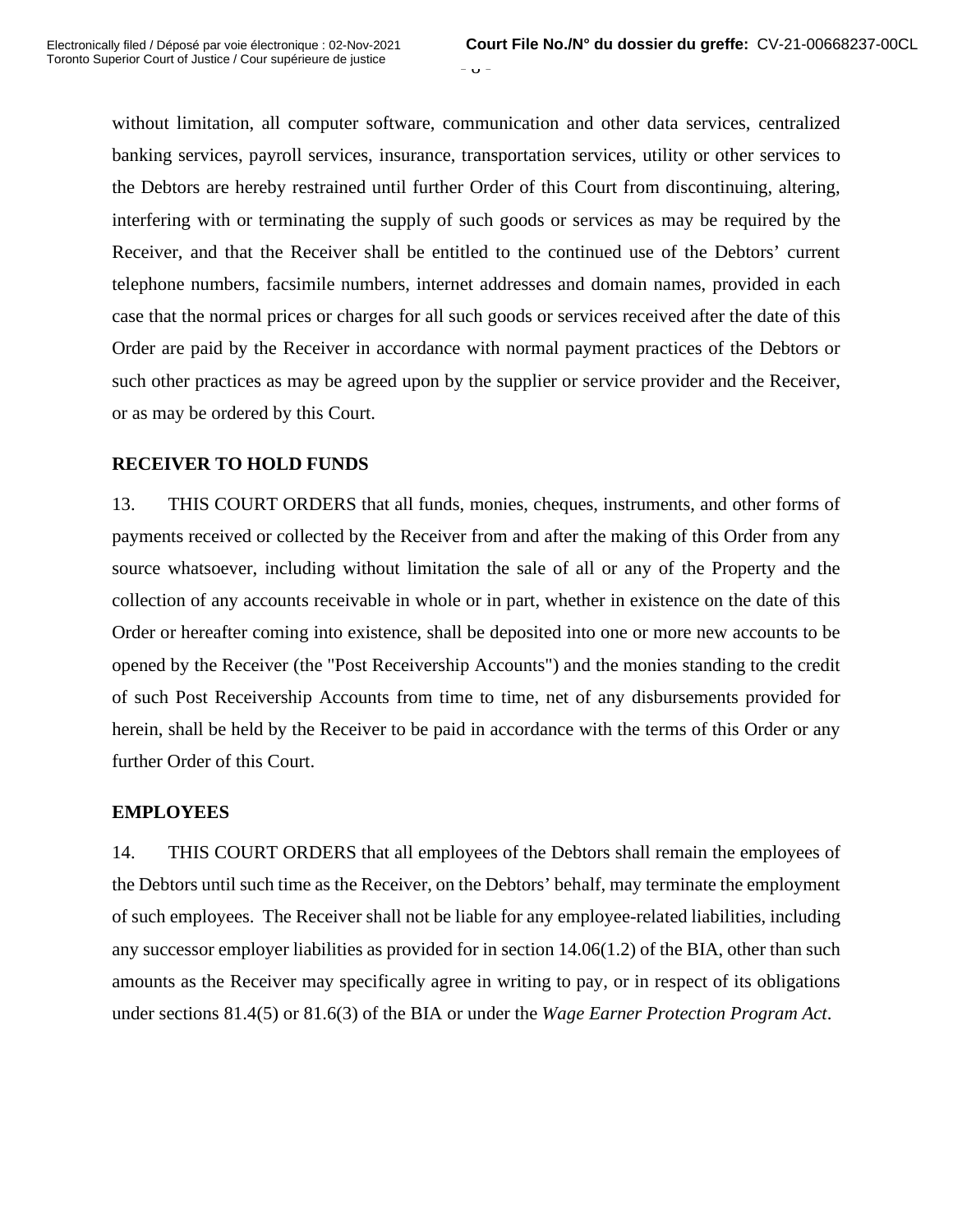$\sigma$  -

without limitation, all computer software, communication and other data services, centralized banking services, payroll services, insurance, transportation services, utility or other services to the Debtors are hereby restrained until further Order of this Court from discontinuing, altering, interfering with or terminating the supply of such goods or services as may be required by the Receiver, and that the Receiver shall be entitled to the continued use of the Debtors' current telephone numbers, facsimile numbers, internet addresses and domain names, provided in each case that the normal prices or charges for all such goods or services received after the date of this Order are paid by the Receiver in accordance with normal payment practices of the Debtors or such other practices as may be agreed upon by the supplier or service provider and the Receiver, or as may be ordered by this Court.

# **RECEIVER TO HOLD FUNDS**

13. THIS COURT ORDERS that all funds, monies, cheques, instruments, and other forms of payments received or collected by the Receiver from and after the making of this Order from any source whatsoever, including without limitation the sale of all or any of the Property and the collection of any accounts receivable in whole or in part, whether in existence on the date of this Order or hereafter coming into existence, shall be deposited into one or more new accounts to be opened by the Receiver (the "Post Receivership Accounts") and the monies standing to the credit of such Post Receivership Accounts from time to time, net of any disbursements provided for herein, shall be held by the Receiver to be paid in accordance with the terms of this Order or any further Order of this Court.

## **EMPLOYEES**

14. THIS COURT ORDERS that all employees of the Debtors shall remain the employees of the Debtors until such time as the Receiver, on the Debtors' behalf, may terminate the employment of such employees. The Receiver shall not be liable for any employee-related liabilities, including any successor employer liabilities as provided for in section 14.06(1.2) of the BIA, other than such amounts as the Receiver may specifically agree in writing to pay, or in respect of its obligations under sections 81.4(5) or 81.6(3) of the BIA or under the *Wage Earner Protection Program Act*.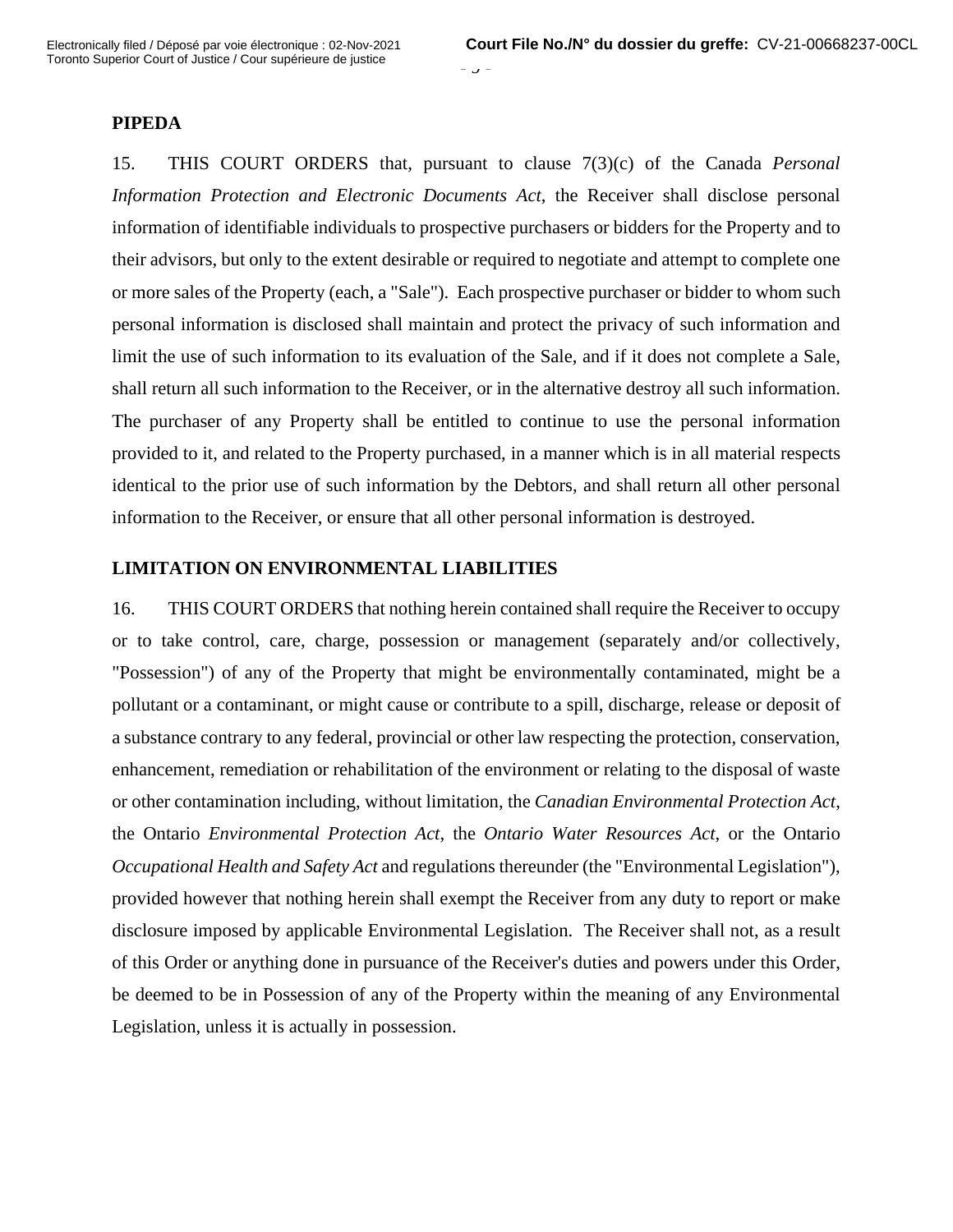#### **PIPEDA**

15. THIS COURT ORDERS that, pursuant to clause 7(3)(c) of the Canada *Personal Information Protection and Electronic Documents Act*, the Receiver shall disclose personal information of identifiable individuals to prospective purchasers or bidders for the Property and to their advisors, but only to the extent desirable or required to negotiate and attempt to complete one or more sales of the Property (each, a "Sale"). Each prospective purchaser or bidder to whom such personal information is disclosed shall maintain and protect the privacy of such information and limit the use of such information to its evaluation of the Sale, and if it does not complete a Sale, shall return all such information to the Receiver, or in the alternative destroy all such information. The purchaser of any Property shall be entitled to continue to use the personal information provided to it, and related to the Property purchased, in a manner which is in all material respects identical to the prior use of such information by the Debtors, and shall return all other personal information to the Receiver, or ensure that all other personal information is destroyed.

 $\prime$  -

## **LIMITATION ON ENVIRONMENTAL LIABILITIES**

16. THIS COURT ORDERS that nothing herein contained shall require the Receiver to occupy or to take control, care, charge, possession or management (separately and/or collectively, "Possession") of any of the Property that might be environmentally contaminated, might be a pollutant or a contaminant, or might cause or contribute to a spill, discharge, release or deposit of a substance contrary to any federal, provincial or other law respecting the protection, conservation, enhancement, remediation or rehabilitation of the environment or relating to the disposal of waste or other contamination including, without limitation, the *Canadian Environmental Protection Act*, the Ontario *Environmental Protection Act*, the *Ontario Water Resources Act*, or the Ontario *Occupational Health and Safety Act* and regulations thereunder (the "Environmental Legislation"), provided however that nothing herein shall exempt the Receiver from any duty to report or make disclosure imposed by applicable Environmental Legislation. The Receiver shall not, as a result of this Order or anything done in pursuance of the Receiver's duties and powers under this Order, be deemed to be in Possession of any of the Property within the meaning of any Environmental Legislation, unless it is actually in possession.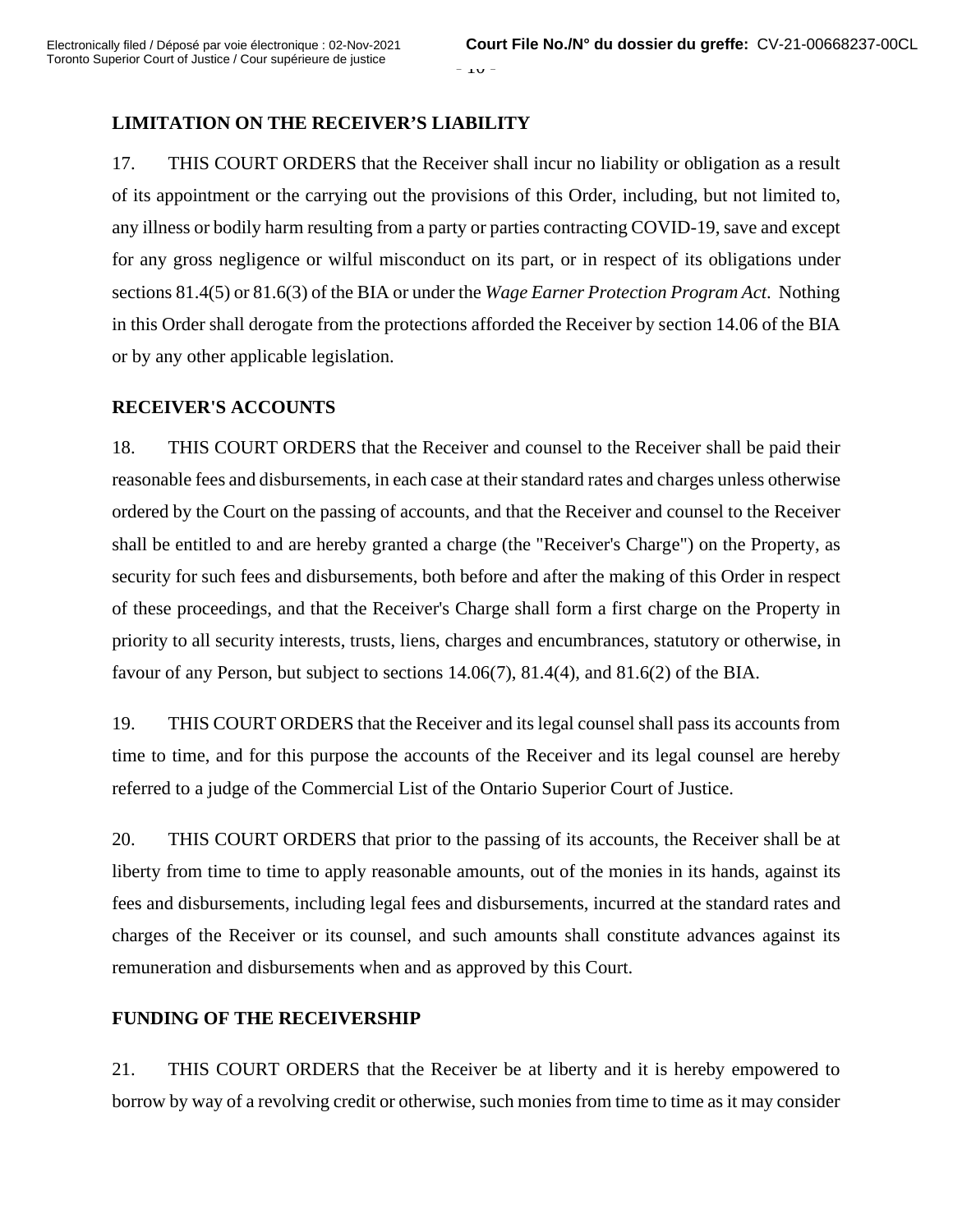## **LIMITATION ON THE RECEIVER'S LIABILITY**

17. THIS COURT ORDERS that the Receiver shall incur no liability or obligation as a result of its appointment or the carrying out the provisions of this Order, including, but not limited to, any illness or bodily harm resulting from a party or parties contracting COVID-19, save and except for any gross negligence or wilful misconduct on its part, or in respect of its obligations under sections 81.4(5) or 81.6(3) of the BIA or under the *Wage Earner Protection Program Act*. Nothing in this Order shall derogate from the protections afforded the Receiver by section 14.06 of the BIA or by any other applicable legislation.

### **RECEIVER'S ACCOUNTS**

18. THIS COURT ORDERS that the Receiver and counsel to the Receiver shall be paid their reasonable fees and disbursements, in each case at their standard rates and charges unless otherwise ordered by the Court on the passing of accounts, and that the Receiver and counsel to the Receiver shall be entitled to and are hereby granted a charge (the "Receiver's Charge") on the Property, as security for such fees and disbursements, both before and after the making of this Order in respect of these proceedings, and that the Receiver's Charge shall form a first charge on the Property in priority to all security interests, trusts, liens, charges and encumbrances, statutory or otherwise, in favour of any Person, but subject to sections  $14.06(7)$ ,  $81.4(4)$ , and  $81.6(2)$  of the BIA.

19. THIS COURT ORDERS that the Receiver and its legal counsel shall pass its accounts from time to time, and for this purpose the accounts of the Receiver and its legal counsel are hereby referred to a judge of the Commercial List of the Ontario Superior Court of Justice.

20. THIS COURT ORDERS that prior to the passing of its accounts, the Receiver shall be at liberty from time to time to apply reasonable amounts, out of the monies in its hands, against its fees and disbursements, including legal fees and disbursements, incurred at the standard rates and charges of the Receiver or its counsel, and such amounts shall constitute advances against its remuneration and disbursements when and as approved by this Court.

## **FUNDING OF THE RECEIVERSHIP**

21. THIS COURT ORDERS that the Receiver be at liberty and it is hereby empowered to borrow by way of a revolving credit or otherwise, such monies from time to time as it may consider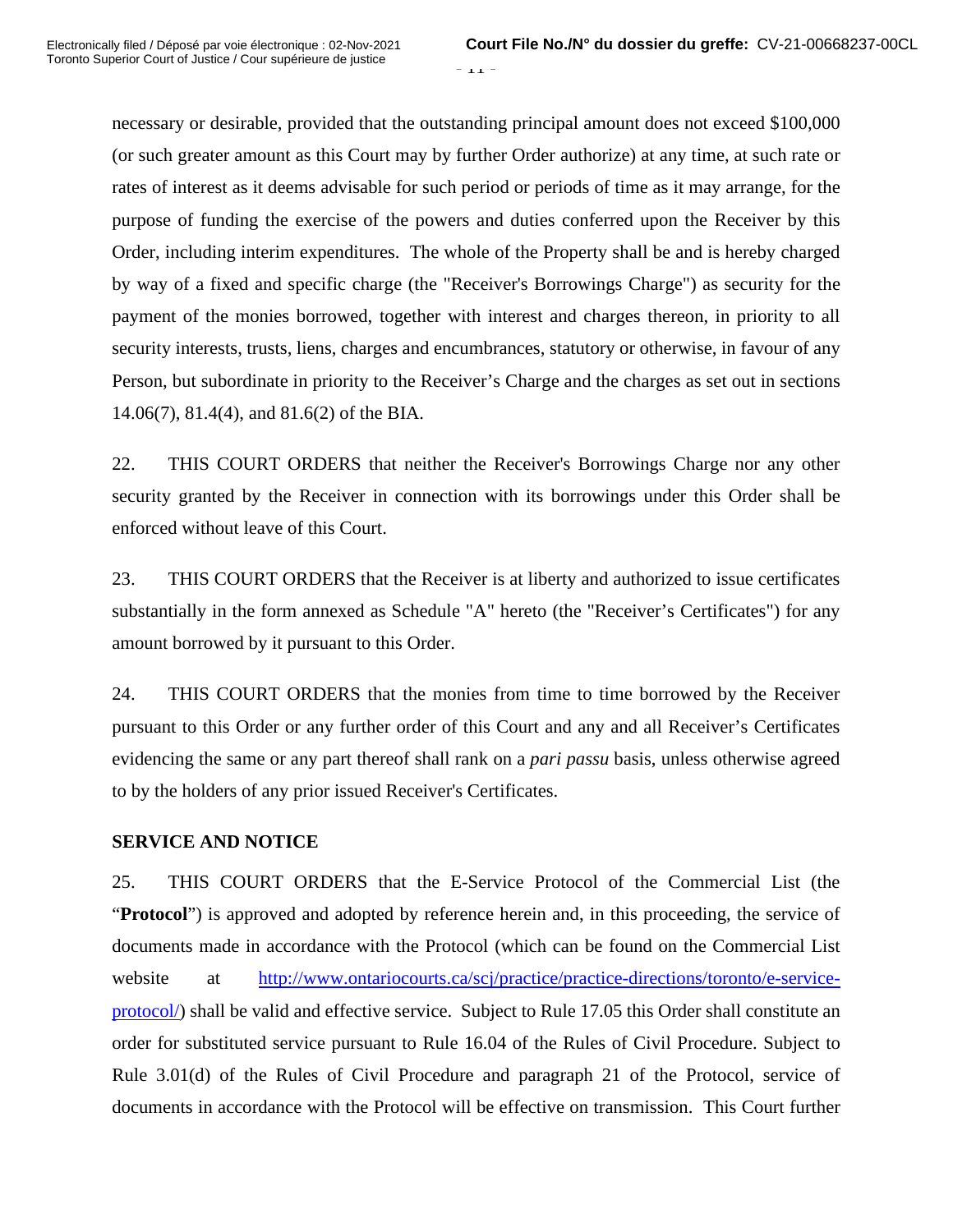$-11 -$ 

necessary or desirable, provided that the outstanding principal amount does not exceed \$100,000 (or such greater amount as this Court may by further Order authorize) at any time, at such rate or rates of interest as it deems advisable for such period or periods of time as it may arrange, for the purpose of funding the exercise of the powers and duties conferred upon the Receiver by this Order, including interim expenditures. The whole of the Property shall be and is hereby charged by way of a fixed and specific charge (the "Receiver's Borrowings Charge") as security for the payment of the monies borrowed, together with interest and charges thereon, in priority to all security interests, trusts, liens, charges and encumbrances, statutory or otherwise, in favour of any Person, but subordinate in priority to the Receiver's Charge and the charges as set out in sections 14.06(7), 81.4(4), and 81.6(2) of the BIA.

22. THIS COURT ORDERS that neither the Receiver's Borrowings Charge nor any other security granted by the Receiver in connection with its borrowings under this Order shall be enforced without leave of this Court.

23. THIS COURT ORDERS that the Receiver is at liberty and authorized to issue certificates substantially in the form annexed as Schedule "A" hereto (the "Receiver's Certificates") for any amount borrowed by it pursuant to this Order.

24. THIS COURT ORDERS that the monies from time to time borrowed by the Receiver pursuant to this Order or any further order of this Court and any and all Receiver's Certificates evidencing the same or any part thereof shall rank on a *pari passu* basis, unless otherwise agreed to by the holders of any prior issued Receiver's Certificates.

## **SERVICE AND NOTICE**

25. THIS COURT ORDERS that the E-Service Protocol of the Commercial List (the "**Protocol**") is approved and adopted by reference herein and, in this proceeding, the service of documents made in accordance with the Protocol (which can be found on the Commercial List website at http://www.ontariocourts.ca/scj/practice/practice-directions/toronto/e-serviceprotocol/) shall be valid and effective service. Subject to Rule 17.05 this Order shall constitute an order for substituted service pursuant to Rule 16.04 of the Rules of Civil Procedure. Subject to Rule 3.01(d) of the Rules of Civil Procedure and paragraph 21 of the Protocol, service of documents in accordance with the Protocol will be effective on transmission. This Court further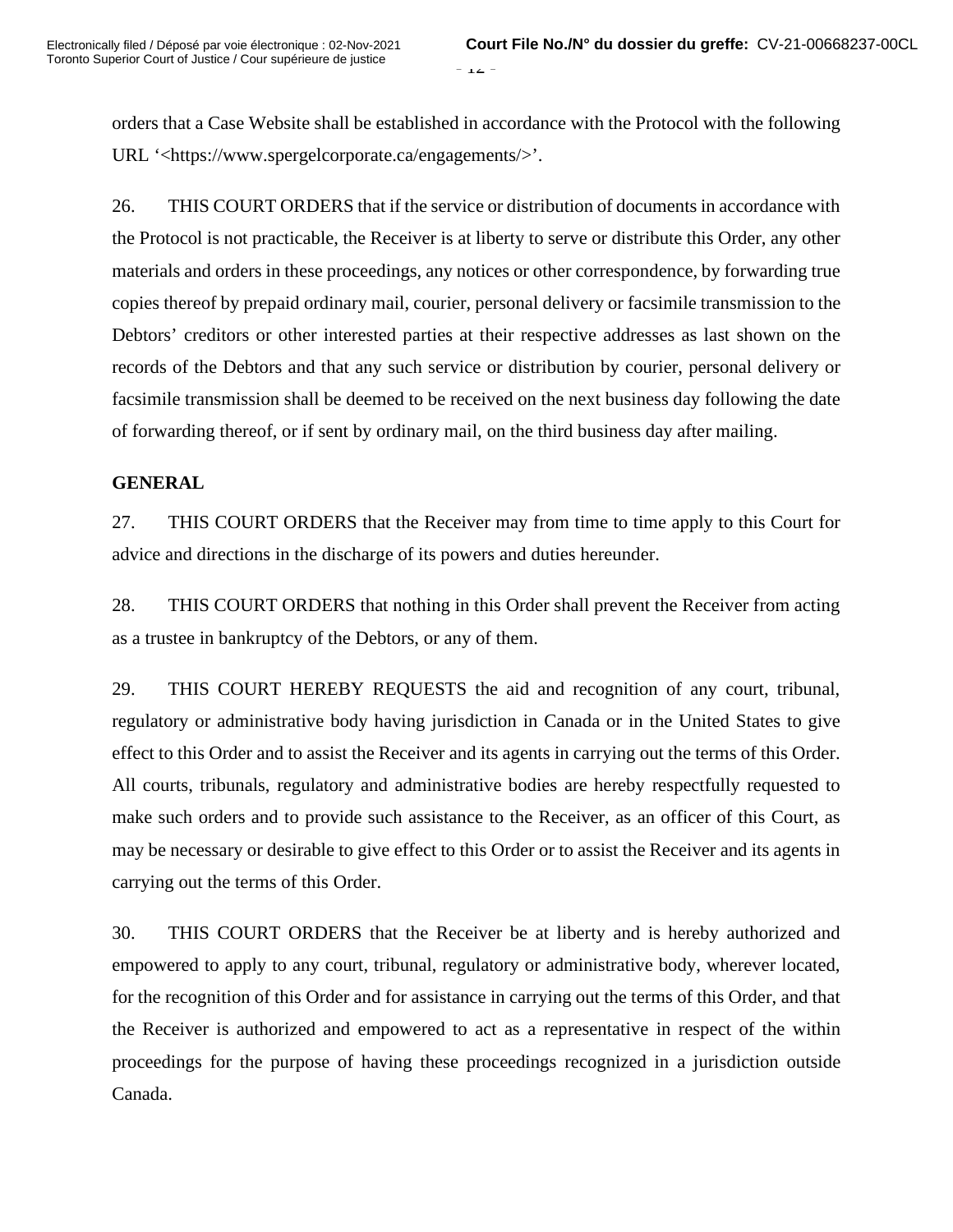orders that a Case Website shall be established in accordance with the Protocol with the following URL '<https://www.spergelcorporate.ca/engagements/>'.

26. THIS COURT ORDERS that if the service or distribution of documents in accordance with the Protocol is not practicable, the Receiver is at liberty to serve or distribute this Order, any other materials and orders in these proceedings, any notices or other correspondence, by forwarding true copies thereof by prepaid ordinary mail, courier, personal delivery or facsimile transmission to the Debtors' creditors or other interested parties at their respective addresses as last shown on the records of the Debtors and that any such service or distribution by courier, personal delivery or facsimile transmission shall be deemed to be received on the next business day following the date of forwarding thereof, or if sent by ordinary mail, on the third business day after mailing.

## **GENERAL**

27. THIS COURT ORDERS that the Receiver may from time to time apply to this Court for advice and directions in the discharge of its powers and duties hereunder.

28. THIS COURT ORDERS that nothing in this Order shall prevent the Receiver from acting as a trustee in bankruptcy of the Debtors, or any of them.

29. THIS COURT HEREBY REQUESTS the aid and recognition of any court, tribunal, regulatory or administrative body having jurisdiction in Canada or in the United States to give effect to this Order and to assist the Receiver and its agents in carrying out the terms of this Order. All courts, tribunals, regulatory and administrative bodies are hereby respectfully requested to make such orders and to provide such assistance to the Receiver, as an officer of this Court, as may be necessary or desirable to give effect to this Order or to assist the Receiver and its agents in carrying out the terms of this Order.

30. THIS COURT ORDERS that the Receiver be at liberty and is hereby authorized and empowered to apply to any court, tribunal, regulatory or administrative body, wherever located, for the recognition of this Order and for assistance in carrying out the terms of this Order, and that the Receiver is authorized and empowered to act as a representative in respect of the within proceedings for the purpose of having these proceedings recognized in a jurisdiction outside Canada.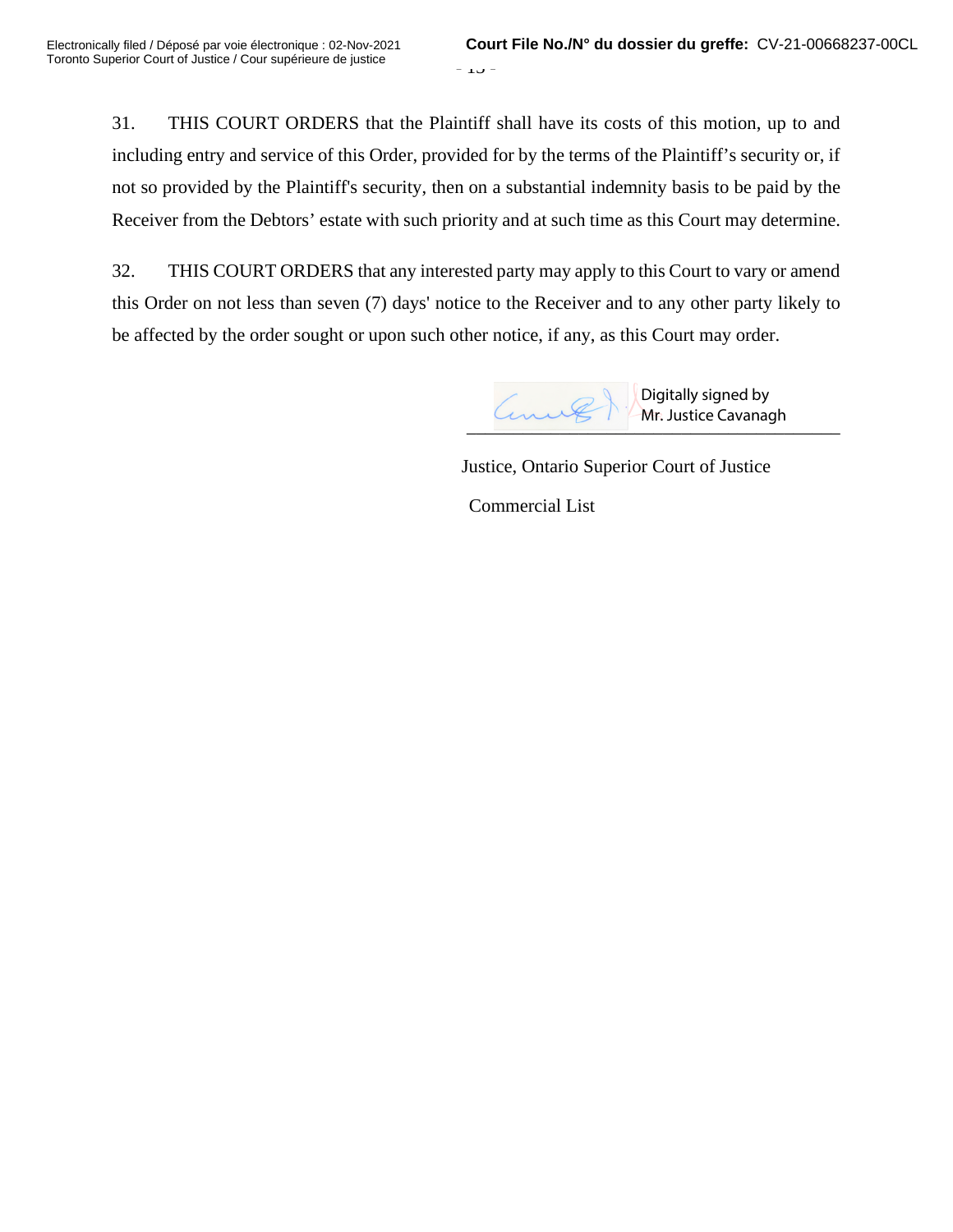31. THIS COURT ORDERS that the Plaintiff shall have its costs of this motion, up to and including entry and service of this Order, provided for by the terms of the Plaintiff's security or, if not so provided by the Plaintiff's security, then on a substantial indemnity basis to be paid by the Receiver from the Debtors' estate with such priority and at such time as this Court may determine.

32. THIS COURT ORDERS that any interested party may apply to this Court to vary or amend this Order on not less than seven (7) days' notice to the Receiver and to any other party likely to be affected by the order sought or upon such other notice, if any, as this Court may order.



Justice, Ontario Superior Court of Justice

Commercial List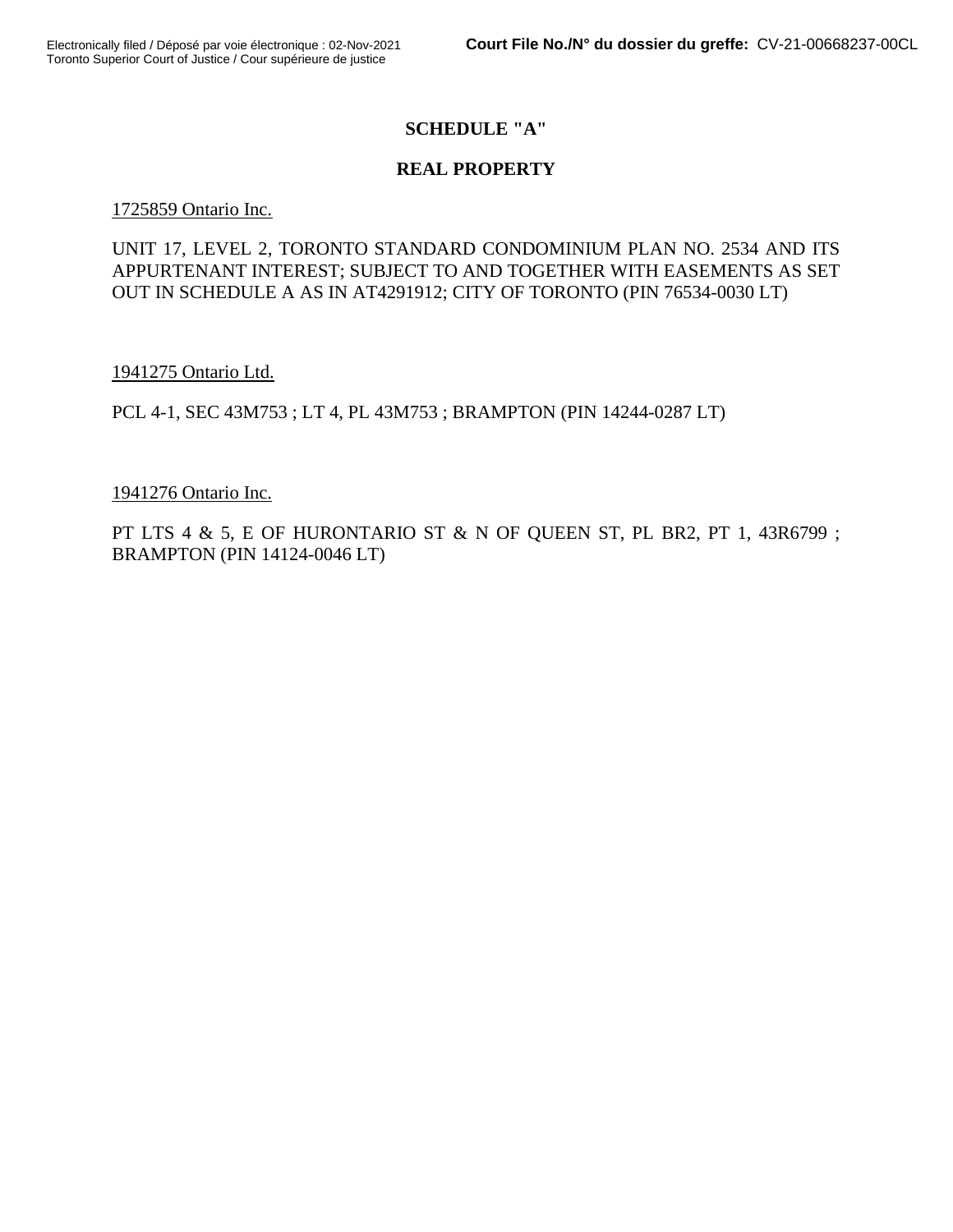# **SCHEDULE "A"**

## **REAL PROPERTY**

### 1725859 Ontario Inc.

# UNIT 17, LEVEL 2, TORONTO STANDARD CONDOMINIUM PLAN NO. 2534 AND ITS APPURTENANT INTEREST; SUBJECT TO AND TOGETHER WITH EASEMENTS AS SET OUT IN SCHEDULE A AS IN AT4291912; CITY OF TORONTO (PIN 76534-0030 LT)

1941275 Ontario Ltd.

PCL 4-1, SEC 43M753 ; LT 4, PL 43M753 ; BRAMPTON (PIN 14244-0287 LT)

### 1941276 Ontario Inc.

PT LTS 4 & 5, E OF HURONTARIO ST & N OF QUEEN ST, PL BR2, PT 1, 43R6799 ; BRAMPTON (PIN 14124-0046 LT)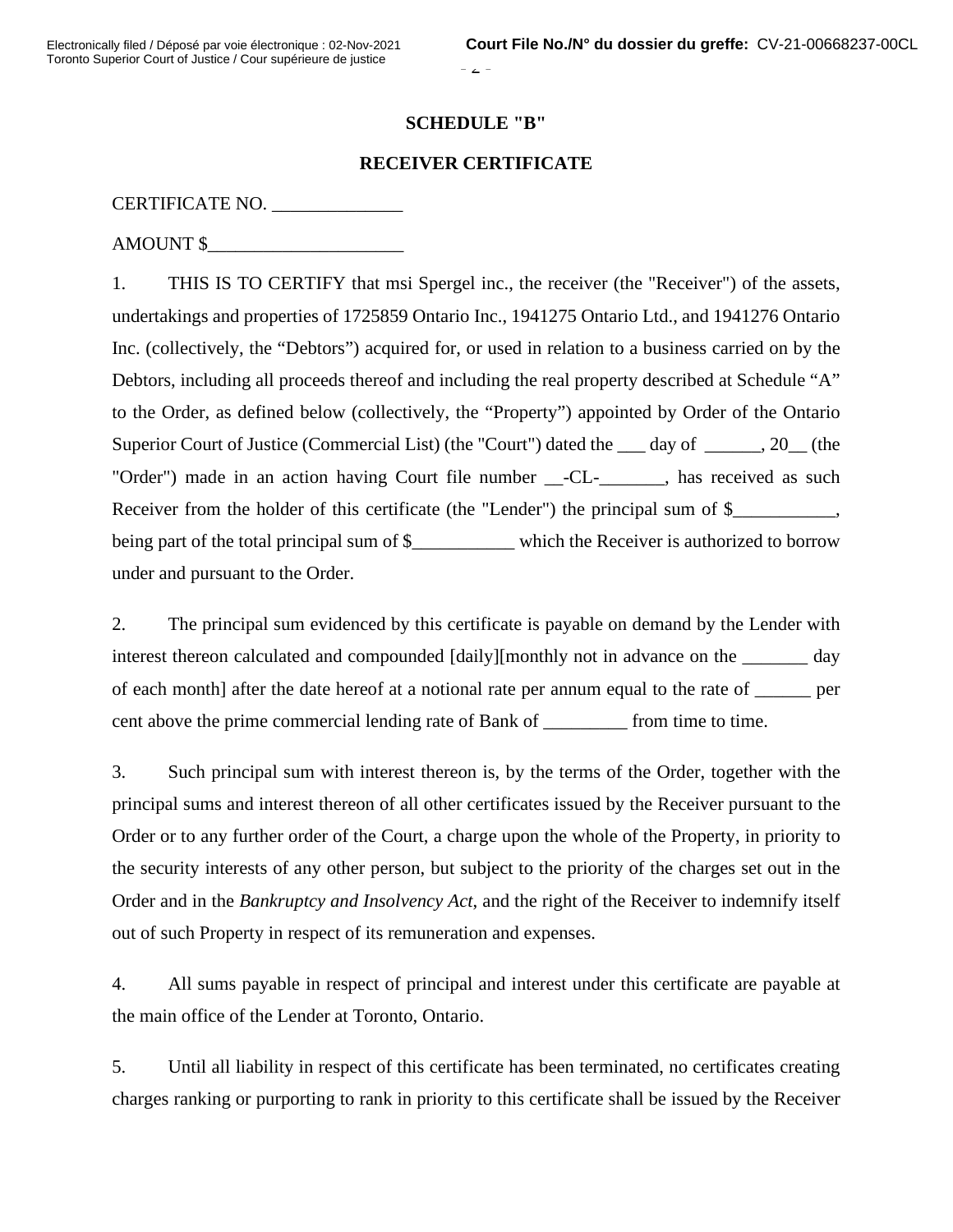$\angle$  -

### **SCHEDULE "B"**

## **RECEIVER CERTIFICATE**

## CERTIFICATE NO. \_\_\_\_\_\_\_\_\_\_\_\_\_\_

AMOUNT \$\_\_\_\_\_\_\_\_\_\_\_\_\_\_\_\_\_\_\_\_\_

1. THIS IS TO CERTIFY that msi Spergel inc., the receiver (the "Receiver") of the assets, undertakings and properties of 1725859 Ontario Inc., 1941275 Ontario Ltd., and 1941276 Ontario Inc. (collectively, the "Debtors") acquired for, or used in relation to a business carried on by the Debtors, including all proceeds thereof and including the real property described at Schedule "A" to the Order, as defined below (collectively, the "Property") appointed by Order of the Ontario Superior Court of Justice (Commercial List) (the "Court") dated the \_\_\_ day of \_\_\_\_\_\_, 20\_\_ (the "Order") made in an action having Court file number \_\_-CL-\_\_\_\_\_\_\_, has received as such Receiver from the holder of this certificate (the "Lender") the principal sum of \$\_\_\_\_\_\_\_\_\_, being part of the total principal sum of \$ which the Receiver is authorized to borrow under and pursuant to the Order.

2. The principal sum evidenced by this certificate is payable on demand by the Lender with interest thereon calculated and compounded [daily][monthly not in advance on the \_\_\_\_\_\_\_ day of each month] after the date hereof at a notional rate per annum equal to the rate of \_\_\_\_\_\_ per cent above the prime commercial lending rate of Bank of from time to time.

3. Such principal sum with interest thereon is, by the terms of the Order, together with the principal sums and interest thereon of all other certificates issued by the Receiver pursuant to the Order or to any further order of the Court, a charge upon the whole of the Property, in priority to the security interests of any other person, but subject to the priority of the charges set out in the Order and in the *Bankruptcy and Insolvency Act*, and the right of the Receiver to indemnify itself out of such Property in respect of its remuneration and expenses.

4. All sums payable in respect of principal and interest under this certificate are payable at the main office of the Lender at Toronto, Ontario.

5. Until all liability in respect of this certificate has been terminated, no certificates creating charges ranking or purporting to rank in priority to this certificate shall be issued by the Receiver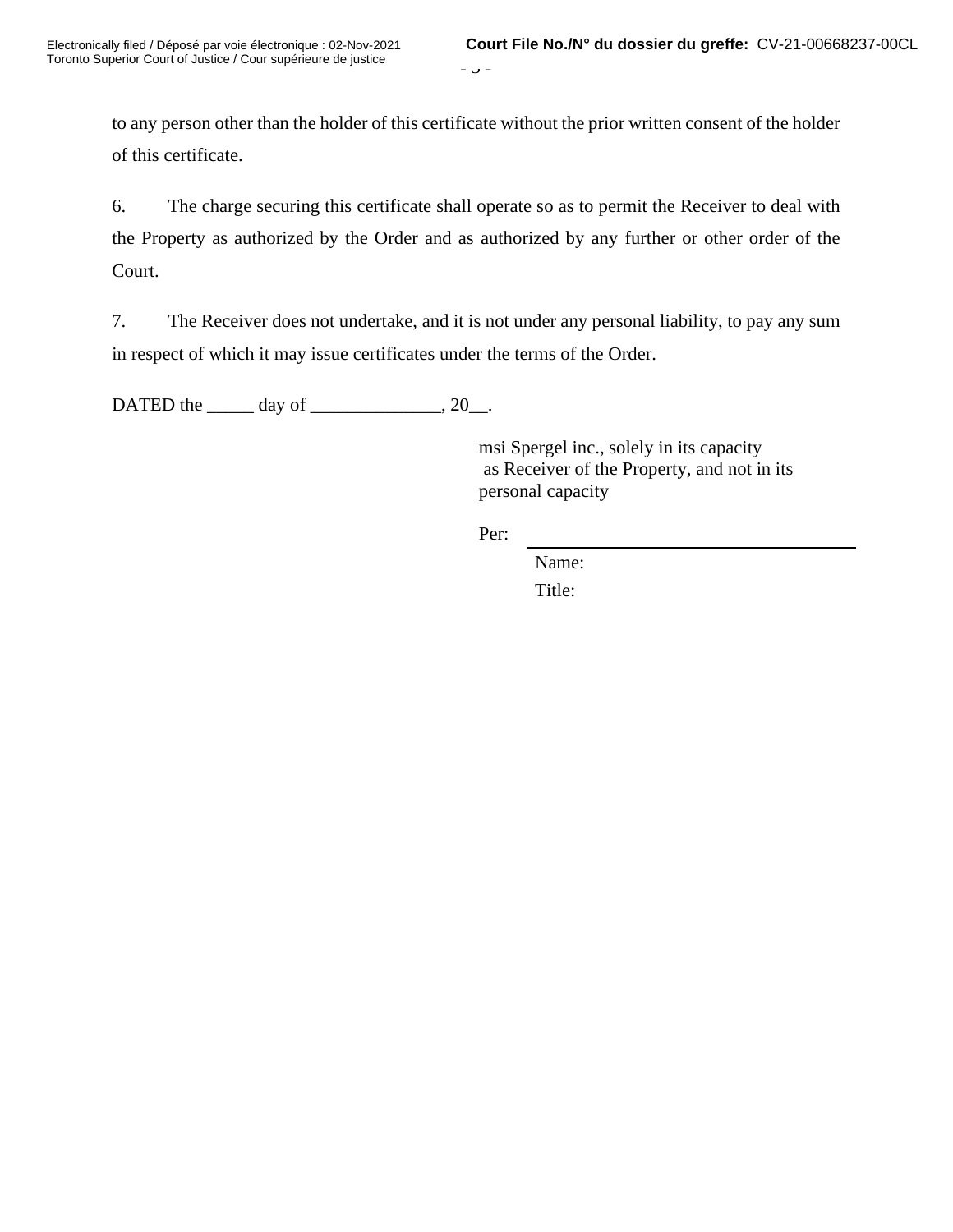$\cup$   $-$ 

to any person other than the holder of this certificate without the prior written consent of the holder of this certificate.

6. The charge securing this certificate shall operate so as to permit the Receiver to deal with the Property as authorized by the Order and as authorized by any further or other order of the Court.

7. The Receiver does not undertake, and it is not under any personal liability, to pay any sum in respect of which it may issue certificates under the terms of the Order.

DATED the  $\_\_\_\_\$  day of  $\_\_\_\_\_\_\$ 

 msi Spergel inc., solely in its capacity as Receiver of the Property, and not in its personal capacity

Per:

Name: Title: